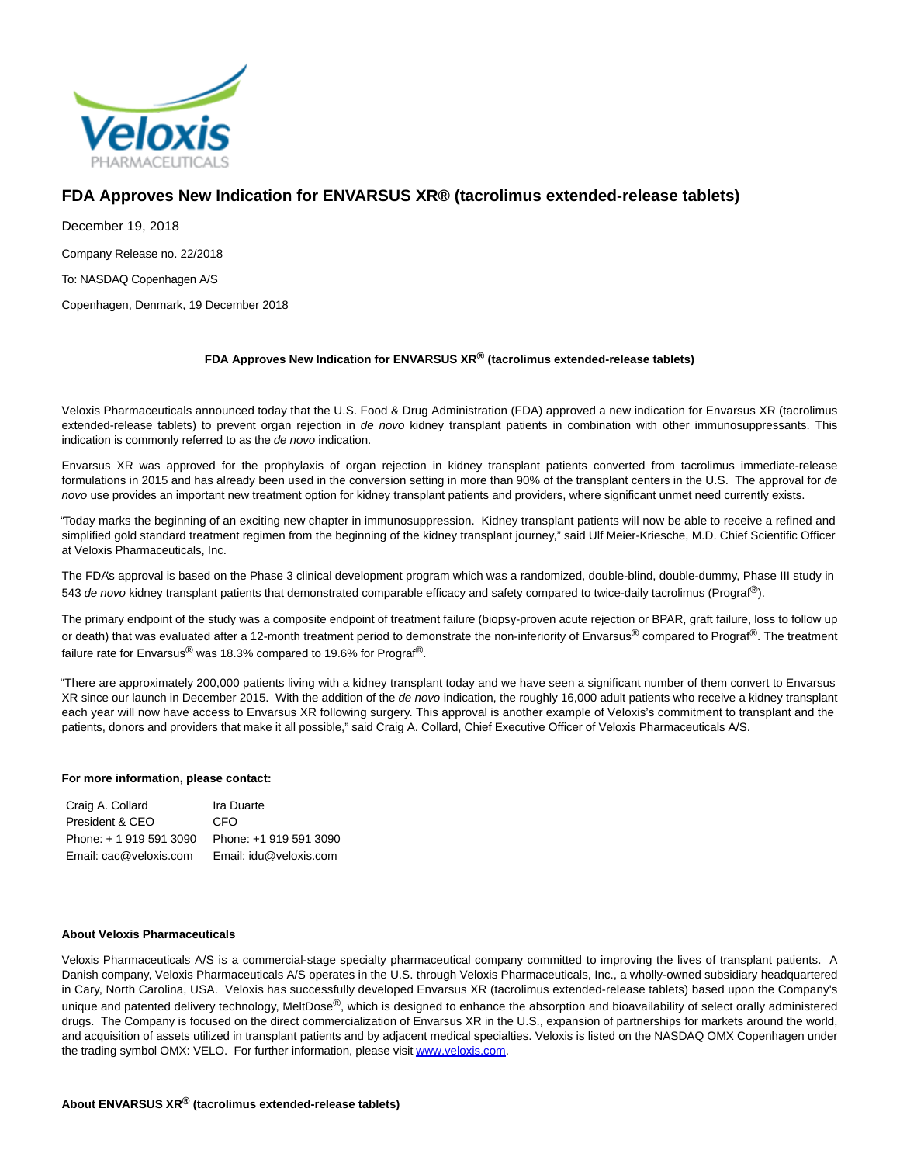

# **FDA Approves New Indication for ENVARSUS XR® (tacrolimus extended-release tablets)**

December 19, 2018 Company Release no. 22/2018 To: NASDAQ Copenhagen A/S

Copenhagen, Denmark, 19 December 2018

## **FDA Approves New Indication for ENVARSUS XR® (tacrolimus extended-release tablets)**

Veloxis Pharmaceuticals announced today that the U.S. Food & Drug Administration (FDA) approved a new indication for Envarsus XR (tacrolimus extended-release tablets) to prevent organ rejection in de novo kidney transplant patients in combination with other immunosuppressants. This indication is commonly referred to as the de novo indication.

Envarsus XR was approved for the prophylaxis of organ rejection in kidney transplant patients converted from tacrolimus immediate-release formulations in 2015 and has already been used in the conversion setting in more than 90% of the transplant centers in the U.S. The approval for de novo use provides an important new treatment option for kidney transplant patients and providers, where significant unmet need currently exists.

"Today marks the beginning of an exciting new chapter in immunosuppression. Kidney transplant patients will now be able to receive a refined and simplified gold standard treatment regimen from the beginning of the kidney transplant journey," said Ulf Meier-Kriesche, M.D. Chief Scientific Officer at Veloxis Pharmaceuticals, Inc.

The FDA's approval is based on the Phase 3 clinical development program which was a randomized, double-blind, double-dummy, Phase III study in 543 de novo kidney transplant patients that demonstrated comparable efficacy and safety compared to twice-daily tacrolimus (Prograf®).

The primary endpoint of the study was a composite endpoint of treatment failure (biopsy-proven acute rejection or BPAR, graft failure, loss to follow up or death) that was evaluated after a 12-month treatment period to demonstrate the non-inferiority of Envarsus® compared to Prograf®. The treatment failure rate for Envarsus® was 18.3% compared to 19.6% for Prograf®.

"There are approximately 200,000 patients living with a kidney transplant today and we have seen a significant number of them convert to Envarsus XR since our launch in December 2015. With the addition of the de novo indication, the roughly 16,000 adult patients who receive a kidney transplant each year will now have access to Envarsus XR following surgery. This approval is another example of Veloxis's commitment to transplant and the patients, donors and providers that make it all possible," said Craig A. Collard, Chief Executive Officer of Veloxis Pharmaceuticals A/S.

## **For more information, please contact:**

| Craig A. Collard        | Ira Duarte             |
|-------------------------|------------------------|
| President & CEO         | CFO                    |
| Phone: + 1 919 591 3090 | Phone: +1 919 591 3090 |
| Email: cac@veloxis.com  | Email: idu@veloxis.com |

### **About Veloxis Pharmaceuticals**

Veloxis Pharmaceuticals A/S is a commercial-stage specialty pharmaceutical company committed to improving the lives of transplant patients. A Danish company, Veloxis Pharmaceuticals A/S operates in the U.S. through Veloxis Pharmaceuticals, Inc., a wholly-owned subsidiary headquartered in Cary, North Carolina, USA. Veloxis has successfully developed Envarsus XR (tacrolimus extended-release tablets) based upon the Company's unique and patented delivery technology, MeltDose®, which is designed to enhance the absorption and bioavailability of select orally administered drugs. The Company is focused on the direct commercialization of Envarsus XR in the U.S., expansion of partnerships for markets around the world, and acquisition of assets utilized in transplant patients and by adjacent medical specialties. Veloxis is listed on the NASDAQ OMX Copenhagen under the trading symbol OMX: VELO. For further information, please visi[t www.veloxis.com.](https://www.globenewswire.com/Tracker?data=q1vGHwW31leAXwYvhyclJP_RYaba6H4-FXkqXaOsGkmem976MlQl0tswyUjEcSXbeCh8AYNc-qHufykZpXSC4g==)